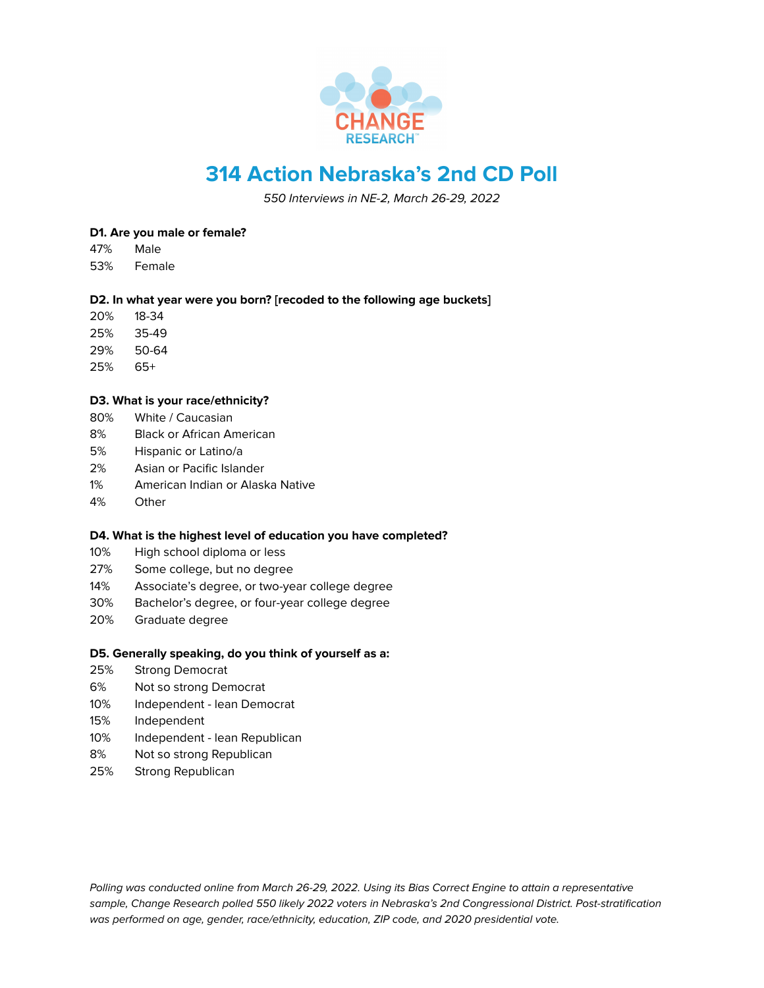

# **314 Action Nebraska's 2nd CD Poll**

550 Interviews in NE-2, March 26-29, 2022

## **D1. Are you male or female?**

- 47% Male
- 53% Female

## **D2. In what year were you born? [recoded to the following age buckets]**

- 20% 18-34
- 25% 35-49
- 29% 50-64
- 25% 65+

# **D3. What is your race/ethnicity?**

- 80% White / Caucasian
- 8% Black or African American
- 5% Hispanic or Latino/a
- 2% Asian or Pacific Islander
- 1% American Indian or Alaska Native
- 4% Other

## **D4. What is the highest level of education you have completed?**

- 10% High school diploma or less
- 27% Some college, but no degree
- 14% Associate's degree, or two-year college degree
- 30% Bachelor's degree, or four-year college degree
- 20% Graduate degree

## **D5. Generally speaking, do you think of yourself as a:**

- 25% Strong Democrat
- 6% Not so strong Democrat
- 10% Independent lean Democrat
- 15% Independent
- 10% Independent lean Republican
- 8% Not so strong Republican
- 25% Strong Republican

Polling was conducted online from March 26-29, 2022. Using its Bias Correct Engine to attain a representative sample, Change Research polled 550 likely 2022 voters in Nebraska's 2nd Congressional District. Post-stratification was performed on age, gender, race/ethnicity, education, ZIP code, and 2020 presidential vote.